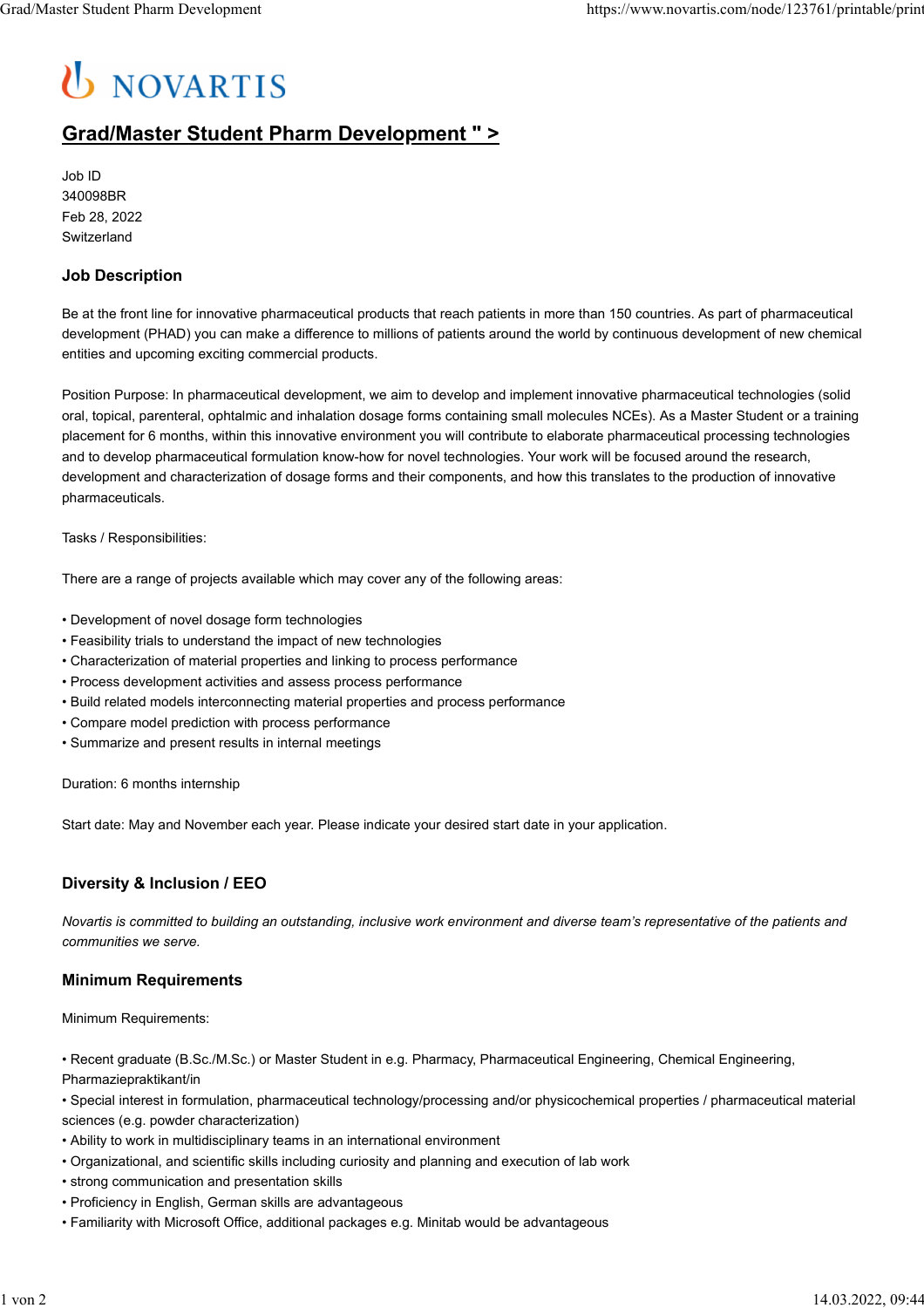# U NOVARTIS

# **Grad/Master Student Pharm Development " >**

Job ID 340098BR Feb 28, 2022 Switzerland

### **Job Description**

Be at the front line for innovative pharmaceutical products that reach patients in more than 150 countries. As part of pharmaceutical development (PHAD) you can make a difference to millions of patients around the world by continuous development of new chemical entities and upcoming exciting commercial products.

Position Purpose: In pharmaceutical development, we aim to develop and implement innovative pharmaceutical technologies (solid oral, topical, parenteral, ophtalmic and inhalation dosage forms containing small molecules NCEs). As a Master Student or a training placement for 6 months, within this innovative environment you will contribute to elaborate pharmaceutical processing technologies and to develop pharmaceutical formulation know-how for novel technologies. Your work will be focused around the research, development and characterization of dosage forms and their components, and how this translates to the production of innovative pharmaceuticals.

Tasks / Responsibilities:

There are a range of projects available which may cover any of the following areas:

- Development of novel dosage form technologies
- Feasibility trials to understand the impact of new technologies
- Characterization of material properties and linking to process performance
- Process development activities and assess process performance
- Build related models interconnecting material properties and process performance
- Compare model prediction with process performance
- Summarize and present results in internal meetings

Duration: 6 months internship

Start date: May and November each year. Please indicate your desired start date in your application.

## **Diversity & Inclusion / EEO**

*Novartis is committed to building an outstanding, inclusive work environment and diverse team's representative of the patients and communities we serve.*

#### **Minimum Requirements**

Minimum Requirements:

• Recent graduate (B.Sc./M.Sc.) or Master Student in e.g. Pharmacy, Pharmaceutical Engineering, Chemical Engineering, Pharmaziepraktikant/in

• Special interest in formulation, pharmaceutical technology/processing and/or physicochemical properties / pharmaceutical material sciences (e.g. powder characterization)

- Ability to work in multidisciplinary teams in an international environment
- Organizational, and scientific skills including curiosity and planning and execution of lab work
- strong communication and presentation skills
- Proficiency in English, German skills are advantageous
- Familiarity with Microsoft Office, additional packages e.g. Minitab would be advantageous